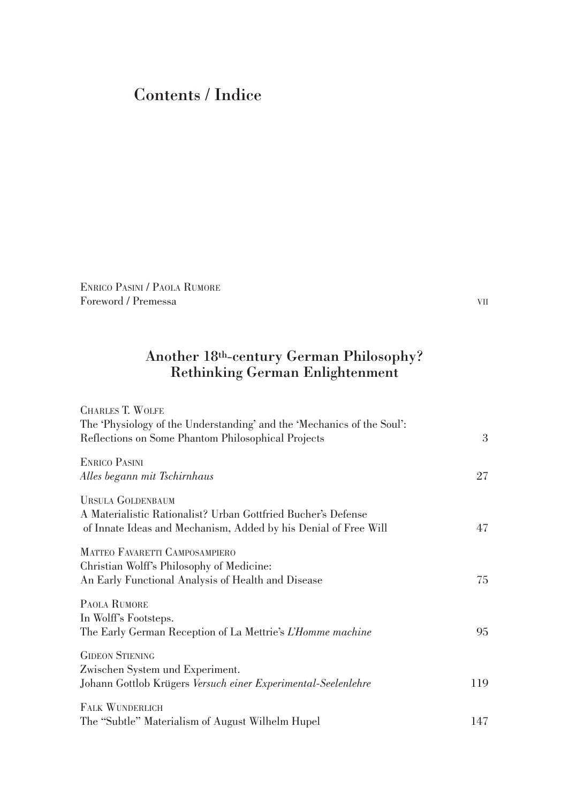## Contents / Indice

Enrico Pasini / Paola Rumore Foreword / Premessa vii

## Another 18th-century German Philosophy? Rethinking German Enlightenment

| <b>CHARLES T. WOLFE</b>                                                |     |
|------------------------------------------------------------------------|-----|
| The 'Physiology of the Understanding' and the 'Mechanics of the Soul': |     |
| Reflections on Some Phantom Philosophical Projects                     | 3   |
|                                                                        |     |
| <b>ENRICO PASINI</b>                                                   |     |
| Alles begann mit Tschirnhaus                                           | 27  |
| <b>URSULA GOLDENBAUM</b>                                               |     |
| A Materialistic Rationalist? Urban Gottfried Bucher's Defense          |     |
| of Innate Ideas and Mechanism, Added by his Denial of Free Will        | 47  |
|                                                                        |     |
| MATTEO FAVARETTI CAMPOSAMPIERO                                         |     |
| Christian Wolff's Philosophy of Medicine:                              |     |
| An Early Functional Analysis of Health and Disease                     | 75  |
| PAOLA RUMORE                                                           |     |
| In Wolff's Footsteps.                                                  |     |
| The Early German Reception of La Mettrie's L'Homme machine             | 95  |
| <b>GIDEON STIENING</b>                                                 |     |
| Zwischen System und Experiment.                                        |     |
| Johann Gottlob Krügers Versuch einer Experimental-Seelenlehre          | 119 |
|                                                                        |     |
| <b>FALK WUNDERLICH</b>                                                 |     |
| The "Subtle" Materialism of August Wilhelm Hupel                       | 147 |
|                                                                        |     |